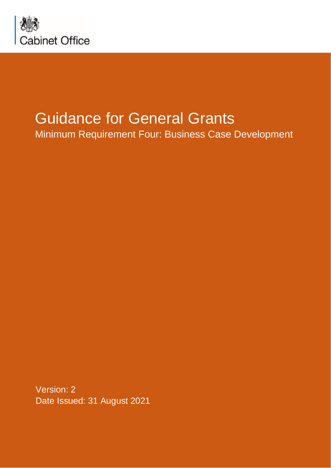

# Guidance for General Grants

Minimum Requirement Four: Business Case Development

Version: 2 Date Issued: 31 August 2021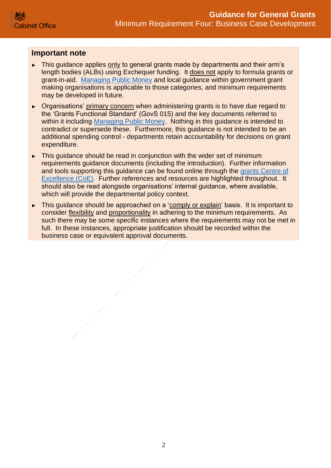## **Important note**

- ► This guidance applies only to general grants made by departments and their arm's length bodies (ALBs) using Exchequer funding. It does not apply to formula grants or grant-in-aid. [Managing Public Money](https://www.gov.uk/government/publications/managing-public-money) and local guidance within government grant making organisations is applicable to those categories, and minimum requirements may be developed in future.
- ► Organisations' primary concern when administering grants is to have due regard to the 'Grants Functional Standard' (GovS 015) and the key documents referred to within it including [Managing Public Money.](https://www.gov.uk/government/publications/managing-public-money) Nothing in this guidance is intended to contradict or supersede these. Furthermore, this guidance is not intended to be an additional spending control - departments retain accountability for decisions on grant expenditure.
- ► This guidance should be read in conjunction with the wider set of minimum requirements guidance documents (including the introduction). Further information and tools supporting this guidance can be found online through the [grants Centre of](https://gcoe.civilservice.gov.uk/sign-in/)  [Excellence \(CoE\).](https://gcoe.civilservice.gov.uk/sign-in/) Further references and resources are highlighted throughout. It should also be read alongside organisations' internal guidance, where available, which will provide the departmental policy context.
- ► This guidance should be approached on a 'comply or explain' basis. It is important to consider flexibility and proportionality in adhering to the minimum requirements. As such there may be some specific instances where the requirements may not be met in full. In these instances, appropriate justification should be recorded within the business case or equivalent approval documents.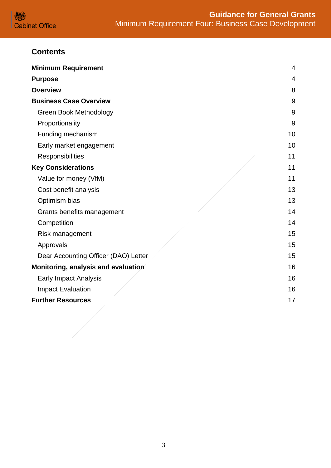

# **Contents**

| <b>Minimum Requirement</b>           | $\overline{4}$ |
|--------------------------------------|----------------|
| <b>Purpose</b>                       | 4              |
| <b>Overview</b>                      | 8              |
| <b>Business Case Overview</b>        | 9              |
| <b>Green Book Methodology</b>        | 9              |
| Proportionality                      | 9              |
| Funding mechanism                    | 10             |
| Early market engagement              | 10             |
| Responsibilities                     | 11             |
| <b>Key Considerations</b>            | 11             |
| Value for money (VfM)                | 11             |
| Cost benefit analysis                | 13             |
| Optimism bias                        | 13             |
| Grants benefits management           | 14             |
| Competition                          | 14             |
| Risk management                      | 15             |
| Approvals                            | 15             |
| Dear Accounting Officer (DAO) Letter | 15             |
| Monitoring, analysis and evaluation  | 16             |
| <b>Early Impact Analysis</b>         | 16             |
| <b>Impact Evaluation</b>             | 16             |
| <b>Further Resources</b>             | 17             |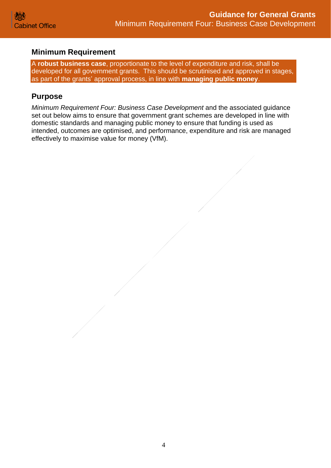## <span id="page-3-0"></span>**Minimum Requirement**

A **robust business case**, proportionate to the level of expenditure and risk, shall be developed for all government grants. This should be scrutinised and approved in stages, as part of the grants' approval process, in line with **managing public money**.

## <span id="page-3-1"></span>**Purpose**

*Minimum Requirement Four: Business Case Development* and the associated guidance set out below aims to ensure that government grant schemes are developed in line with domestic standards and managing public money to ensure that funding is used as intended, outcomes are optimised, and performance, expenditure and risk are managed effectively to maximise value for money (VfM).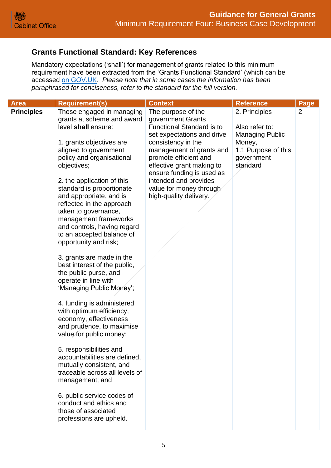## **Grants Functional Standard: Key References**

Mandatory expectations ('shall') for management of grants related to this minimum requirement have been extracted from the 'Grants Functional Standard' (which can be accessed [on GOV.UK.](https://www.gov.uk/government/publications/grants-standards/grant-standards) *Please note that in some cases the information has been paraphrased for conciseness, refer to the standard for the full version.*

| <b>Area</b>                                                                                                                                                                                                                                                                                                                                                                                                                                       |                                                                                                                                                                                                                                                                                                                                                                                                                                                                                                                                                                                | <b>Context</b>                                                                                                                                                                                                                                                                                                               | <b>Reference</b>                                                                                                     |                        |
|---------------------------------------------------------------------------------------------------------------------------------------------------------------------------------------------------------------------------------------------------------------------------------------------------------------------------------------------------------------------------------------------------------------------------------------------------|--------------------------------------------------------------------------------------------------------------------------------------------------------------------------------------------------------------------------------------------------------------------------------------------------------------------------------------------------------------------------------------------------------------------------------------------------------------------------------------------------------------------------------------------------------------------------------|------------------------------------------------------------------------------------------------------------------------------------------------------------------------------------------------------------------------------------------------------------------------------------------------------------------------------|----------------------------------------------------------------------------------------------------------------------|------------------------|
| <b>Requirement(s)</b><br><b>Principles</b><br>level shall ensure:<br>1. grants objectives are<br>aligned to government<br>objectives;<br>and appropriate, and is<br>taken to governance,<br>opportunity and risk;<br>the public purse, and<br>operate in line with<br>economy, effectiveness<br>value for public money;<br>5. responsibilities and<br>management; and<br>conduct and ethics and<br>those of associated<br>professions are upheld. | Those engaged in managing<br>grants at scheme and award<br>policy and organisational<br>2. the application of this<br>standard is proportionate<br>reflected in the approach<br>management frameworks<br>and controls, having regard<br>to an accepted balance of<br>3. grants are made in the<br>best interest of the public,<br>'Managing Public Money';<br>4. funding is administered<br>with optimum efficiency,<br>and prudence, to maximise<br>accountabilities are defined,<br>mutually consistent, and<br>traceable across all levels of<br>6. public service codes of | The purpose of the<br>government Grants<br><b>Functional Standard is to</b><br>set expectations and drive<br>consistency in the<br>management of grants and<br>promote efficient and<br>effective grant making to<br>ensure funding is used as<br>intended and provides<br>value for money through<br>high-quality delivery. | 2. Principles<br>Also refer to:<br><b>Managing Public</b><br>Money,<br>1.1 Purpose of this<br>government<br>standard | Page<br>$\overline{2}$ |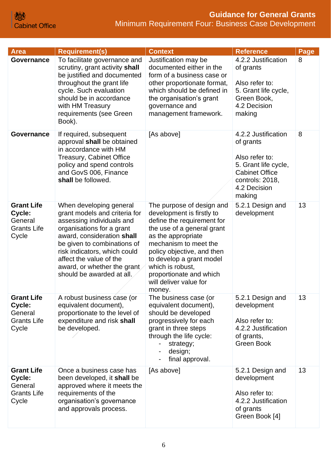| Area                                                                  | <b>Requirement(s)</b>                                                                                                                                                                                                                                                                                  | <b>Context</b>                                                                                                                                                                                                                                                                                                 | <b>Reference</b>                                                                                                                                 | Page |
|-----------------------------------------------------------------------|--------------------------------------------------------------------------------------------------------------------------------------------------------------------------------------------------------------------------------------------------------------------------------------------------------|----------------------------------------------------------------------------------------------------------------------------------------------------------------------------------------------------------------------------------------------------------------------------------------------------------------|--------------------------------------------------------------------------------------------------------------------------------------------------|------|
| <b>Governance</b>                                                     | To facilitate governance and<br>scrutiny, grant activity shall<br>be justified and documented<br>throughout the grant life<br>cycle. Such evaluation<br>should be in accordance<br>with HM Treasury<br>requirements (see Green<br>Book).                                                               | Justification may be<br>documented either in the<br>form of a business case or<br>other proportionate format,<br>which should be defined in<br>the organisation's grant<br>governance and<br>management framework.                                                                                             | 4.2.2 Justification<br>of grants<br>Also refer to:<br>5. Grant life cycle,<br>Green Book,<br>4.2 Decision<br>making                              | 8    |
| Governance                                                            | If required, subsequent<br>approval shall be obtained<br>in accordance with HM<br><b>Treasury, Cabinet Office</b><br>policy and spend controls<br>and GovS 006, Finance<br>shall be followed.                                                                                                          | [As above]                                                                                                                                                                                                                                                                                                     | 4.2.2 Justification<br>of grants<br>Also refer to:<br>5. Grant life cycle,<br><b>Cabinet Office</b><br>controls: 2018,<br>4.2 Decision<br>making | 8    |
| <b>Grant Life</b><br>Cycle:<br>General<br><b>Grants Life</b><br>Cycle | When developing general<br>grant models and criteria for<br>assessing individuals and<br>organisations for a grant<br>award, consideration shall<br>be given to combinations of<br>risk indicators, which could<br>affect the value of the<br>award, or whether the grant<br>should be awarded at all. | The purpose of design and<br>development is firstly to<br>define the requirement for<br>the use of a general grant<br>as the appropriate<br>mechanism to meet the<br>policy objective, and then<br>to develop a grant model<br>which is robust,<br>proportionate and which<br>will deliver value for<br>money. | 5.2.1 Design and<br>development                                                                                                                  | 13   |
| <b>Grant Life</b><br>Cycle:<br>General<br><b>Grants Life</b><br>Cycle | A robust business case (or<br>equivalent document),<br>proportionate to the level of<br>expenditure and risk shall<br>be developed.                                                                                                                                                                    | The business case (or<br>equivalent document),<br>should be developed<br>progressively for each<br>grant in three steps<br>through the life cycle:<br>strategy;<br>design;<br>final approval.                                                                                                                  | 5.2.1 Design and<br>development<br>Also refer to:<br>4.2.2 Justification<br>of grants,<br>Green Book                                             | 13   |
| <b>Grant Life</b><br>Cycle:<br>General<br><b>Grants Life</b><br>Cycle | Once a business case has<br>been developed, it shall be<br>approved where it meets the<br>requirements of the<br>organisation's governance<br>and approvals process.                                                                                                                                   | [As above]                                                                                                                                                                                                                                                                                                     | 5.2.1 Design and<br>development<br>Also refer to:<br>4.2.2 Justification<br>of grants<br>Green Book [4]                                          | 13   |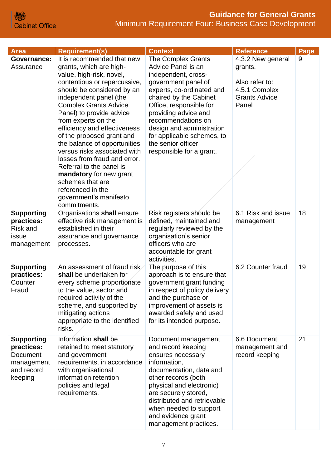| <b>Area</b>                                                                               | <b>Requirement(s)</b>                                                                                                                                                                                                                                                                                                                                                                                                                                                                                                                                               | <b>Context</b>                                                                                                                                                                                                                                                                                                                             | <b>Reference</b>                                                                                 | Page |
|-------------------------------------------------------------------------------------------|---------------------------------------------------------------------------------------------------------------------------------------------------------------------------------------------------------------------------------------------------------------------------------------------------------------------------------------------------------------------------------------------------------------------------------------------------------------------------------------------------------------------------------------------------------------------|--------------------------------------------------------------------------------------------------------------------------------------------------------------------------------------------------------------------------------------------------------------------------------------------------------------------------------------------|--------------------------------------------------------------------------------------------------|------|
| <b>Governance:</b><br>Assurance                                                           | It is recommended that new<br>grants, which are high-<br>value, high-risk, novel,<br>contentious or repercussive,<br>should be considered by an<br>independent panel (the<br><b>Complex Grants Advice</b><br>Panel) to provide advice<br>from experts on the<br>efficiency and effectiveness<br>of the proposed grant and<br>the balance of opportunities<br>versus risks associated with<br>losses from fraud and error.<br>Referral to the panel is<br>mandatory for new grant<br>schemes that are<br>referenced in the<br>government's manifesto<br>commitments. | <b>The Complex Grants</b><br>Advice Panel is an<br>independent, cross-<br>government panel of<br>experts, co-ordinated and<br>chaired by the Cabinet<br>Office, responsible for<br>providing advice and<br>recommendations on<br>design and administration<br>for applicable schemes, to<br>the senior officer<br>responsible for a grant. | 4.3.2 New general<br>grants.<br>Also refer to:<br>4.5.1 Complex<br><b>Grants Advice</b><br>Panel | 9    |
| <b>Supporting</b><br>practices:<br><b>Risk and</b><br>issue<br>management                 | Organisations shall ensure<br>effective risk management is<br>established in their<br>assurance and governance<br>processes.                                                                                                                                                                                                                                                                                                                                                                                                                                        | Risk registers should be<br>defined, maintained and<br>regularly reviewed by the<br>organisation's senior<br>officers who are<br>accountable for grant<br>activities.                                                                                                                                                                      | 6.1 Risk and issue<br>management                                                                 | 18   |
| <b>Supporting</b><br>practices:<br>Counter<br>Fraud                                       | An assessment of fraud risk<br>shall be undertaken for<br>every scheme proportionate<br>to the value, sector and<br>required activity of the<br>scheme, and supported by<br>mitigating actions<br>appropriate to the identified<br>risks.                                                                                                                                                                                                                                                                                                                           | The purpose of this<br>approach is to ensure that<br>government grant funding<br>in respect of policy delivery<br>and the purchase or<br>improvement of assets is<br>awarded safely and used<br>for its intended purpose.                                                                                                                  | 6.2 Counter fraud                                                                                | 19   |
| <b>Supporting</b><br>practices:<br><b>Document</b><br>management<br>and record<br>keeping | Information shall be<br>retained to meet statutory<br>and government<br>requirements, in accordance<br>with organisational<br>information retention<br>policies and legal<br>requirements.                                                                                                                                                                                                                                                                                                                                                                          | Document management<br>and record keeping<br>ensures necessary<br>information,<br>documentation, data and<br>other records (both<br>physical and electronic)<br>are securely stored,<br>distributed and retrievable<br>when needed to support<br>and evidence grant<br>management practices.                                               | 6.6 Document<br>management and<br>record keeping                                                 | 21   |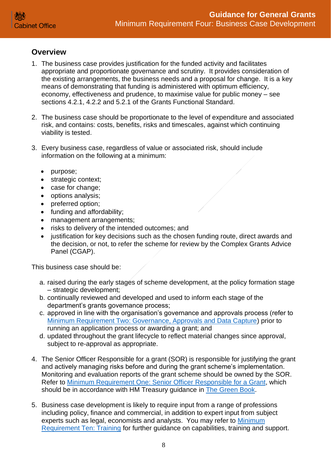## <span id="page-7-0"></span>**Overview**

- 1. The business case provides justification for the funded activity and facilitates appropriate and proportionate governance and scrutiny. It provides consideration of the existing arrangements, the business needs and a proposal for change. It is a key means of demonstrating that funding is administered with optimum efficiency, economy, effectiveness and prudence, to maximise value for public money – see sections 4.2.1, 4.2.2 and 5.2.1 of the Grants Functional Standard.
- 2. The business case should be proportionate to the level of expenditure and associated risk, and contains: costs, benefits, risks and timescales, against which continuing viability is tested.
- 3. Every business case, regardless of value or associated risk, should include information on the following at a minimum:
	- purpose;
	- strategic context;
	- case for change;
	- options analysis;
	- preferred option:
	- funding and affordability;
	- management arrangements;
	- risks to delivery of the intended outcomes; and
	- justification for key decisions such as the chosen funding route, direct awards and the decision, or not, to refer the scheme for review by the Complex Grants Advice Panel (CGAP).

This business case should be:

- a. raised during the early stages of scheme development, at the policy formation stage – strategic development;
- b. continually reviewed and developed and used to inform each stage of the department's grants governance process;
- c. approved in line with the organisation's governance and approvals process (refer to [Minimum Requirement Two: Governance, Approvals and Data Capture\)](https://assets.publishing.service.gov.uk/government/uploads/system/uploads/attachment_data/file/722195/Grants-Standard-TWO-Approvals-and-Data-Capture.pdf) prior to running an application process or awarding a grant; and
- d. updated throughout the grant lifecycle to reflect material changes since approval, subject to re-approval as appropriate.
- 4. The Senior Officer Responsible for a grant (SOR) is responsible for justifying the grant and actively managing risks before and during the grant scheme's implementation. Monitoring and evaluation reports of the grant scheme should be owned by the SOR. Refer to [Minimum Requirement One: Senior Officer](https://assets.publishing.service.gov.uk/government/uploads/system/uploads/attachment_data/file/722194/Grants-Standard-ONE-SRO.pdf) Responsible for a Grant, which should be in accordance with HM Treasury guidance in [The Green Book.](https://assets.publishing.service.gov.uk/government/uploads/system/uploads/attachment_data/file/685903/The_Green_Book.pdf)
- 5. Business case development is likely to require input from a range of professions including policy, finance and commercial, in addition to expert input from subject experts such as legal, economists and analysts. You may refer to Minimum [Requirement Ten: Training](https://assets.publishing.service.gov.uk/government/uploads/system/uploads/attachment_data/file/722204/Grants-Standard-TEN-Training.pdf) for further guidance on capabilities, training and support.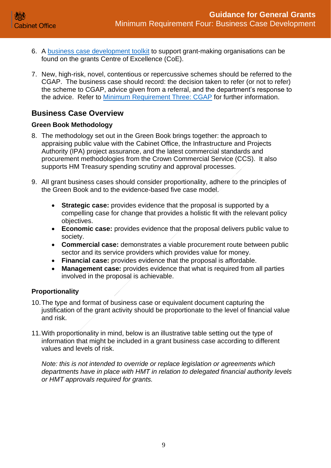- 6. A [business case development toolkit](https://gcoe.civilservice.gov.uk/introduction-to-grants/1-design-development/) to support grant-making organisations can be found on the grants Centre of Excellence (CoE).
- 7. New, high-risk, novel, contentious or repercussive schemes should be referred to the CGAP. The business case should record: the decision taken to refer (or not to refer) the scheme to CGAP, advice given from a referral, and the department's response to the advice. Refer to [Minimum Requirement Three: CGAP](https://assets.publishing.service.gov.uk/government/uploads/system/uploads/attachment_data/file/722197/Grants-Standard-THREE-NGAP.pdf) for further information.

# <span id="page-8-0"></span>**Business Case Overview**

## <span id="page-8-1"></span>**Green Book Methodology**

- 8. The methodology set out in the Green Book brings together: the approach to appraising public value with the Cabinet Office, the Infrastructure and Projects Authority (IPA) project assurance, and the latest commercial standards and procurement methodologies from the Crown Commercial Service (CCS). It also supports HM Treasury spending scrutiny and approval processes.
- 9. All grant business cases should consider proportionality, adhere to the principles of the Green Book and to the evidence-based five case model.
	- **Strategic case:** provides evidence that the proposal is supported by a compelling case for change that provides a holistic fit with the relevant policy objectives.
	- **Economic case:** provides evidence that the proposal delivers public value to society.
	- **Commercial case:** demonstrates a viable procurement route between public sector and its service providers which provides value for money.
	- **Financial case:** provides evidence that the proposal is affordable.
	- **Management case:** provides evidence that what is required from all parties involved in the proposal is achievable.

## <span id="page-8-2"></span>**Proportionality**

- 10.The type and format of business case or equivalent document capturing the justification of the grant activity should be proportionate to the level of financial value and risk.
- 11.With proportionality in mind, below is an illustrative table setting out the type of information that might be included in a grant business case according to different values and levels of risk.

*Note: this is not intended to override or replace legislation or agreements which departments have in place with HMT in relation to delegated financial authority levels or HMT approvals required for grants.*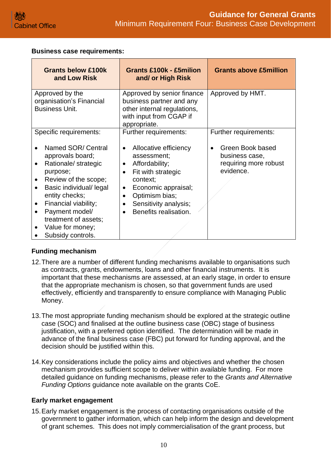#### **Business case requirements:**

| <b>Grants below £100k</b><br>and Low Risk                                                                                                                                                                                                                                                                                   | <b>Grants £100k - £5milion</b><br>and/ or High Risk                                                                                                                                                                                                                                        | <b>Grants above £5million</b>                                                                     |
|-----------------------------------------------------------------------------------------------------------------------------------------------------------------------------------------------------------------------------------------------------------------------------------------------------------------------------|--------------------------------------------------------------------------------------------------------------------------------------------------------------------------------------------------------------------------------------------------------------------------------------------|---------------------------------------------------------------------------------------------------|
| Approved by the<br>organisation's Financial<br><b>Business Unit.</b>                                                                                                                                                                                                                                                        | Approved by senior finance<br>business partner and any<br>other internal regulations,<br>with input from CGAP if<br>appropriate.                                                                                                                                                           | Approved by HMT.                                                                                  |
| Specific requirements:<br>Named SOR/ Central<br>approvals board;<br>Rationale/ strategic<br>$\bullet$<br>purpose;<br>Review of the scope;<br>Basic individual/ legal<br>$\bullet$<br>entity checks;<br>Financial viability;<br>$\bullet$<br>Payment model/<br>treatment of assets;<br>Value for money;<br>Subsidy controls. | Further requirements:<br>Allocative efficiency<br>$\bullet$<br>assessment;<br>Affordability;<br>$\bullet$<br>Fit with strategic<br>$\bullet$<br>context;<br>Economic appraisal;<br>$\bullet$<br>Optimism bias;<br>$\bullet$<br>Sensitivity analysis;<br>Benefits realisation.<br>$\bullet$ | Further requirements:<br>Green Book based<br>business case,<br>requiring more robust<br>evidence. |

## <span id="page-9-0"></span>**Funding mechanism**

- 12.There are a number of different funding mechanisms available to organisations such as contracts, grants, endowments, loans and other financial instruments. It is important that these mechanisms are assessed, at an early stage, in order to ensure that the appropriate mechanism is chosen, so that government funds are used effectively, efficiently and transparently to ensure compliance with Managing Public Money.
- 13.The most appropriate funding mechanism should be explored at the strategic outline case (SOC) and finalised at the outline business case (OBC) stage of business justification, with a preferred option identified. The determination will be made in advance of the final business case (FBC) put forward for funding approval, and the decision should be justified within this.
- 14.Key considerations include the policy aims and objectives and whether the chosen mechanism provides sufficient scope to deliver within available funding. For more detailed guidance on funding mechanisms, please refer to the *Grants and Alternative Funding Options* guidance note available on the grants CoE.

#### <span id="page-9-1"></span>**Early market engagement**

15.Early market engagement is the process of contacting organisations outside of the government to gather information, which can help inform the design and development of grant schemes. This does not imply commercialisation of the grant process, but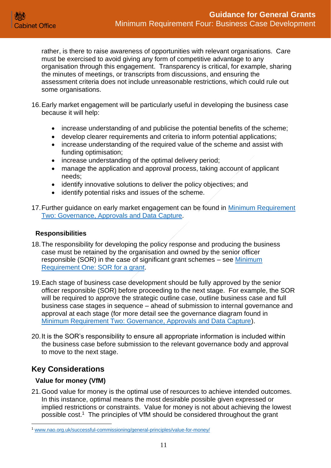rather, is there to raise awareness of opportunities with relevant organisations. Care must be exercised to avoid giving any form of competitive advantage to any organisation through this engagement. Transparency is critical, for example, sharing the minutes of meetings, or transcripts from discussions, and ensuring the assessment criteria does not include unreasonable restrictions, which could rule out some organisations.

- 16.Early market engagement will be particularly useful in developing the business case because it will help:
	- increase understanding of and publicise the potential benefits of the scheme;
	- develop clearer requirements and criteria to inform potential applications;
	- increase understanding of the required value of the scheme and assist with funding optimisation;
	- increase understanding of the optimal delivery period;
	- manage the application and approval process, taking account of applicant needs;
	- identify innovative solutions to deliver the policy objectives; and
	- identify potential risks and issues of the scheme.
- 17. Further guidance on early market engagement can be found in Minimum Requirement [Two: Governance, Approvals and Data Capture.](https://assets.publishing.service.gov.uk/government/uploads/system/uploads/attachment_data/file/722195/Grants-Standard-TWO-Approvals-and-Data-Capture.pdf)

#### <span id="page-10-0"></span>**Responsibilities**

- 18.The responsibility for developing the policy response and producing the business case must be retained by the organisation and owned by the senior officer responsible (SOR) in the case of significant grant schemes – see [Minimum](https://assets.publishing.service.gov.uk/government/uploads/system/uploads/attachment_data/file/896336/Grants-Standard-ONE-SRO.pdf)  [Requirement One: SOR for a grant.](https://assets.publishing.service.gov.uk/government/uploads/system/uploads/attachment_data/file/896336/Grants-Standard-ONE-SRO.pdf)
- 19.Each stage of business case development should be fully approved by the senior officer responsible (SOR) before proceeding to the next stage. For example, the SOR will be required to approve the strategic outline case, outline business case and full business case stages in sequence – ahead of submission to internal governance and approval at each stage (for more detail see the governance diagram found in [Minimum Requirement Two: Governance, Approvals and Data Capture\)](https://assets.publishing.service.gov.uk/government/uploads/system/uploads/attachment_data/file/722195/Grants-Standard-TWO-Approvals-and-Data-Capture.pdf).
- 20.It is the SOR's responsibility to ensure all appropriate information is included within the business case before submission to the relevant governance body and approval to move to the next stage.

# <span id="page-10-1"></span>**Key Considerations**

## <span id="page-10-2"></span>**Value for money (VfM)**

21.Good value for money is the optimal use of resources to achieve intended outcomes. In this instance, optimal means the most desirable possible given expressed or implied restrictions or constraints. Value for money is not about achieving the lowest possible cost. <sup>1</sup> The principles of VfM should be considered throughout the grant

<sup>1</sup> [www.nao.org.uk/successful-commissioning/general-principles/value-for-money/](http://www.nao.org.uk/successful-commissioning/general-principles/value-for-money/)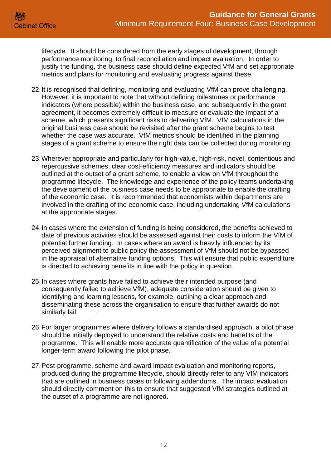lifecycle. It should be considered from the early stages of development, through performance monitoring, to final reconciliation and impact evaluation. In order to justify the funding, the business case should define expected VfM and set appropriate metrics and plans for monitoring and evaluating progress against these.

- 22.It is recognised that defining, monitoring and evaluating VfM can prove challenging. However, it is important to note that without defining milestones or performance indicators (where possible) within the business case, and subsequently in the grant agreement, it becomes extremely difficult to measure or evaluate the impact of a scheme, which presents significant risks to delivering VfM. VfM calculations in the original business case should be revisited after the grant scheme begins to test whether the case was accurate. VfM metrics should be identified in the planning stages of a grant scheme to ensure the right data can be collected during monitoring.
- 23.Wherever appropriate and particularly for high-value, high-risk, novel, contentious and repercussive schemes, clear cost-efficiency measures and indicators should be outlined at the outset of a grant scheme, to enable a view on VfM throughout the programme lifecycle. The knowledge and experience of the policy teams undertaking the development of the business case needs to be appropriate to enable the drafting of the economic case. It is recommended that economists within departments are involved in the drafting of the economic case, including undertaking VfM calculations at the appropriate stages.
- 24.In cases where the extension of funding is being considered, the benefits achieved to date of previous activities should be assessed against their costs to inform the VfM of potential further funding. In cases where an award is heavily influenced by its perceived alignment to public policy the assessment of VfM should not be bypassed in the appraisal of alternative funding options. This will ensure that public expenditure is directed to achieving benefits in line with the policy in question.
- 25.In cases where grants have failed to achieve their intended purpose (and consequently failed to achieve VfM), adequate consideration should be given to identifying and learning lessons, for example, outlining a clear approach and disseminating these across the organisation to ensure that further awards do not similarly fail.
- 26.For larger programmes where delivery follows a standardised approach, a pilot phase should be initially deployed to understand the relative costs and benefits of the programme. This will enable more accurate quantification of the value of a potential longer-term award following the pilot phase.
- 27.Post-programme, scheme and award impact evaluation and monitoring reports, produced during the programme lifecycle, should directly refer to any VfM indicators that are outlined in business cases or following addendums. The impact evaluation should directly comment on this to ensure that suggested VfM strategies outlined at the outset of a programme are not ignored.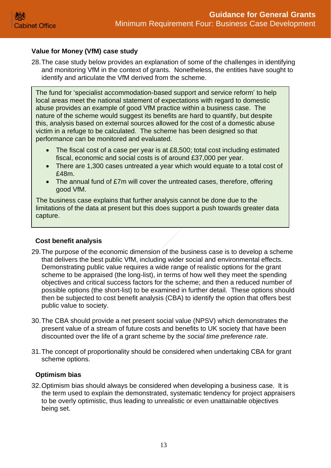## **Value for Money (VfM) case study**

28.The case study below provides an explanation of some of the challenges in identifying and monitoring VfM in the context of grants. Nonetheless, the entities have sought to identify and articulate the VfM derived from the scheme.

The fund for 'specialist accommodation-based support and service reform' to help local areas meet the national statement of expectations with regard to domestic abuse provides an example of good VfM practice within a business case. The nature of the scheme would suggest its benefits are hard to quantify, but despite this, analysis based on external sources allowed for the cost of a domestic abuse victim in a refuge to be calculated. The scheme has been designed so that performance can be monitored and evaluated.

- The fiscal cost of a case per year is at £8,500; total cost including estimated fiscal, economic and social costs is of around £37,000 per year.
- There are 1,300 cases untreated a year which would equate to a total cost of £48m.
- The annual fund of £7m will cover the untreated cases, therefore, offering good VfM.

The business case explains that further analysis cannot be done due to the limitations of the data at present but this does support a push towards greater data capture.

## <span id="page-12-0"></span>**Cost benefit analysis**

- 29.The purpose of the economic dimension of the business case is to develop a scheme that delivers the best public VfM, including wider social and environmental effects. Demonstrating public value requires a wide range of realistic options for the grant scheme to be appraised (the long-list), in terms of how well they meet the spending objectives and critical success factors for the scheme; and then a reduced number of possible options (the short-list) to be examined in further detail. These options should then be subjected to cost benefit analysis (CBA) to identify the option that offers best public value to society.
- 30.The CBA should provide a net present social value (NPSV) which demonstrates the present value of a stream of future costs and benefits to UK society that have been discounted over the life of a grant scheme by the *social time preference rate*.
- 31.The concept of proportionality should be considered when undertaking CBA for grant scheme options.

## <span id="page-12-1"></span>**Optimism bias**

32.Optimism bias should always be considered when developing a business case. It is the term used to explain the demonstrated, systematic tendency for project appraisers to be overly optimistic, thus leading to unrealistic or even unattainable objectives being set.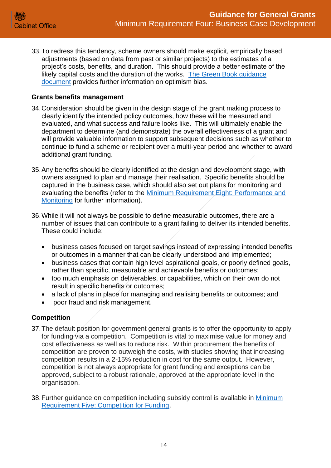33.To redress this tendency, scheme owners should make explicit, empirically based adjustments (based on data from past or similar projects) to the estimates of a project's costs, benefits, and duration. This should provide a better estimate of the likely capital costs and the duration of the works. The Green Book guidance [document](https://www.gov.uk/government/publications/green-book-supplementary-guidance-optimism-bias) provides further information on optimism bias.

#### <span id="page-13-0"></span>**Grants benefits management**

- 34.Consideration should be given in the design stage of the grant making process to clearly identify the intended policy outcomes, how these will be measured and evaluated, and what success and failure looks like. This will ultimately enable the department to determine (and demonstrate) the overall effectiveness of a grant and will provide valuable information to support subsequent decisions such as whether to continue to fund a scheme or recipient over a multi-year period and whether to award additional grant funding.
- 35.Any benefits should be clearly identified at the design and development stage, with owners assigned to plan and manage their realisation. Specific benefits should be captured in the business case, which should also set out plans for monitoring and evaluating the benefits (refer to the Minimum [Requirement Eight: Performance and](https://assets.publishing.service.gov.uk/government/uploads/system/uploads/attachment_data/file/722202/Grants-Standard-EIGHT-Performance-and-Monitoring.pdf)  [Monitoring](https://assets.publishing.service.gov.uk/government/uploads/system/uploads/attachment_data/file/722202/Grants-Standard-EIGHT-Performance-and-Monitoring.pdf) for further information).
- 36.While it will not always be possible to define measurable outcomes, there are a number of issues that can contribute to a grant failing to deliver its intended benefits. These could include:
	- business cases focused on target savings instead of expressing intended benefits or outcomes in a manner that can be clearly understood and implemented;
	- business cases that contain high level aspirational goals, or poorly defined goals, rather than specific, measurable and achievable benefits or outcomes;
	- too much emphasis on deliverables, or capabilities, which on their own do not result in specific benefits or outcomes;
	- a lack of plans in place for managing and realising benefits or outcomes; and
	- poor fraud and risk management.

#### <span id="page-13-1"></span>**Competition**

- 37.The default position for government general grants is to offer the opportunity to apply for funding via a competition. Competition is vital to maximise value for money and cost effectiveness as well as to reduce risk. Within procurement the benefits of competition are proven to outweigh the costs, with studies showing that increasing competition results in a 2-15% reduction in cost for the same output. However, competition is not always appropriate for grant funding and exceptions can be approved, subject to a robust rationale, approved at the appropriate level in the organisation.
- 38.Further guidance on competition including subsidy control is available in [Minimum](https://assets.publishing.service.gov.uk/government/uploads/system/uploads/attachment_data/file/722199/Grants-Standard-FIVE-Competition.pdf)  [Requirement Five: Competition for Funding.](https://assets.publishing.service.gov.uk/government/uploads/system/uploads/attachment_data/file/722199/Grants-Standard-FIVE-Competition.pdf)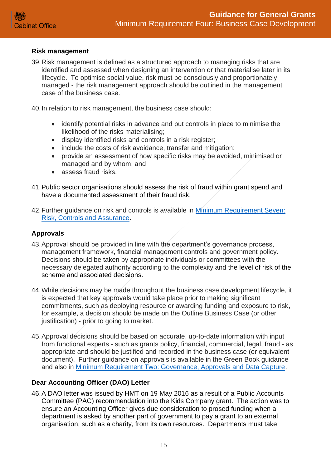#### <span id="page-14-0"></span>**Risk management**

39.Risk management is defined as a structured approach to managing risks that are identified and assessed when designing an intervention or that materialise later in its lifecycle. To optimise social value, risk must be consciously and proportionately managed - the risk management approach should be outlined in the management case of the business case.

40.In relation to risk management, the business case should:

- identify potential risks in advance and put controls in place to minimise the likelihood of the risks materialising;
- display identified risks and controls in a risk register;
- include the costs of risk avoidance, transfer and mitigation;
- provide an assessment of how specific risks may be avoided, minimised or managed and by whom; and
- assess fraud risks.
- 41.Public sector organisations should assess the risk of fraud within grant spend and have a documented assessment of their fraud risk.
- 42.Further guidance on risk and controls is available in [Minimum Requirement Seven:](https://assets.publishing.service.gov.uk/government/uploads/system/uploads/attachment_data/file/722201/Grants-Standard-SEVEN-Due-Diligence-and-Fraud-Risk.pdf)  [Risk, Controls and Assurance.](https://assets.publishing.service.gov.uk/government/uploads/system/uploads/attachment_data/file/722201/Grants-Standard-SEVEN-Due-Diligence-and-Fraud-Risk.pdf)

#### <span id="page-14-1"></span>**Approvals**

- 43.Approval should be provided in line with the department's governance process, management framework, financial management controls and government policy. Decisions should be taken by appropriate individuals or committees with the necessary delegated authority according to the complexity and the level of risk of the scheme and associated decisions.
- 44.While decisions may be made throughout the business case development lifecycle, it is expected that key approvals would take place prior to making significant commitments, such as deploying resource or awarding funding and exposure to risk, for example, a decision should be made on the Outline Business Case (or other justification) - prior to going to market.
- 45.Approval decisions should be based on accurate, up-to-date information with input from functional experts - such as grants policy, financial, commercial, legal, fraud - as appropriate and should be justified and recorded in the business case (or equivalent document). Further guidance on approvals is available in the Green Book guidance and also in [Minimum Requirement Two: Governance, Approvals and Data Capture.](https://assets.publishing.service.gov.uk/government/uploads/system/uploads/attachment_data/file/722195/Grants-Standard-TWO-Approvals-and-Data-Capture.pdf)

#### <span id="page-14-2"></span>**Dear Accounting Officer (DAO) Letter**

46.A DAO letter was issued by HMT on 19 May 2016 as a result of a Public Accounts Committee (PAC) recommendation into the Kids Company grant. The action was to ensure an Accounting Officer gives due consideration to prosed funding when a department is asked by another part of government to pay a grant to an external organisation, such as a charity, from its own resources. Departments must take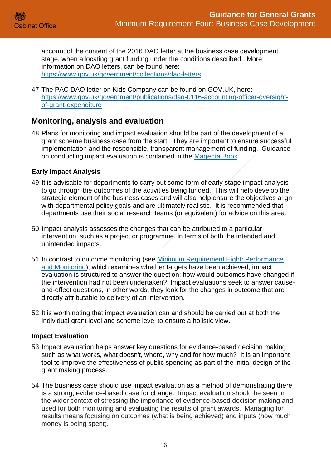account of the content of the 2016 DAO letter at the business case development stage, when allocating grant funding under the conditions described. More information on DAO letters, can be found here: [https://www.gov.uk/government/collections/dao-letters.](https://www.gov.uk/government/collections/dao-letters)

47.The PAC DAO letter on Kids Company can be found on GOV.UK, here: [https://www.gov.uk/government/publications/dao-0116-accounting-officer-oversight](https://www.gov.uk/government/publications/dao-0116-accounting-officer-oversight-of-grant-expenditure)[of-grant-expenditure](https://www.gov.uk/government/publications/dao-0116-accounting-officer-oversight-of-grant-expenditure)

## <span id="page-15-0"></span>**Monitoring, analysis and evaluation**

48.Plans for monitoring and impact evaluation should be part of the development of a grant scheme business case from the start. They are important to ensure successful implementation and the responsible, transparent management of funding. Guidance on conducting impact evaluation is contained in the [Magenta Book.](https://www.gov.uk/government/publications/the-magenta-book)

#### <span id="page-15-1"></span>**Early Impact Analysis**

- 49.It is advisable for departments to carry out some form of early stage impact analysis to go through the outcomes of the activities being funded. This will help develop the strategic element of the business cases and will also help ensure the objectives align with departmental policy goals and are ultimately realistic. It is recommended that departments use their social research teams (or equivalent) for advice on this area.
- 50.Impact analysis assesses the changes that can be attributed to a particular intervention, such as a project or programme, in terms of both the intended and unintended impacts.
- 51.In contrast to outcome monitoring (see [Minimum Requirement Eight: Performance](https://assets.publishing.service.gov.uk/government/uploads/system/uploads/attachment_data/file/722202/Grants-Standard-EIGHT-Performance-and-Monitoring.pdf)  [and Monitoring\)](https://assets.publishing.service.gov.uk/government/uploads/system/uploads/attachment_data/file/722202/Grants-Standard-EIGHT-Performance-and-Monitoring.pdf), which examines whether targets have been achieved, impact evaluation is structured to answer the question: how would outcomes have changed if the intervention had not been undertaken? Impact evaluations seek to answer causeand-effect questions, in other words, they look for the changes in outcome that are directly attributable to delivery of an intervention.
- 52.It is worth noting that impact evaluation can and should be carried out at both the individual grant level and scheme level to ensure a holistic view.

#### <span id="page-15-2"></span>**Impact Evaluation**

- 53.Impact evaluation helps answer key questions for evidence-based decision making such as what works, what doesn't, where, why and for how much? It is an important tool to improve the effectiveness of public spending as part of the initial design of the grant making process.
- 54.The business case should use impact evaluation as a method of demonstrating there is a strong, evidence-based case for change. Impact evaluation should be seen in the wider context of stressing the importance of evidence-based decision making and used for both monitoring and evaluating the results of grant awards. Managing for results means focusing on outcomes (what is being achieved) and inputs (how much money is being spent).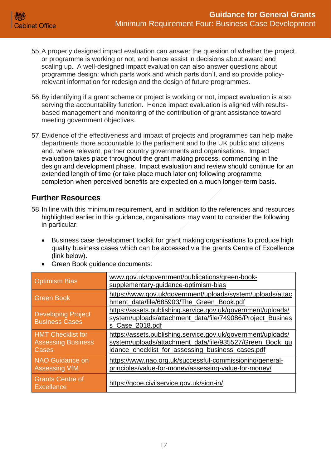- 55.A properly designed impact evaluation can answer the question of whether the project or programme is working or not, and hence assist in decisions about award and scaling up. A well-designed impact evaluation can also answer questions about programme design: which parts work and which parts don't, and so provide policyrelevant information for redesign and the design of future programmes.
- 56.By identifying if a grant scheme or project is working or not, impact evaluation is also serving the accountability function. Hence impact evaluation is aligned with resultsbased management and monitoring of the contribution of grant assistance toward meeting government objectives.
- 57.Evidence of the effectiveness and impact of projects and programmes can help make departments more accountable to the parliament and to the UK public and citizens and, where relevant, partner country governments and organisations. Impact evaluation takes place throughout the grant making process, commencing in the design and development phase. Impact evaluation and review should continue for an extended length of time (or take place much later on) following programme completion when perceived benefits are expected on a much longer-term basis.

# <span id="page-16-0"></span>**Further Resources**

- 58.In line with this minimum requirement, and in addition to the references and resources highlighted earlier in this guidance, organisations may want to consider the following in particular:
	- Business case development toolkit for grant making organisations to produce high quality business cases which can be accessed via the grants Centre of Excellence (link below).
	- Green Book guidance documents:

| <b>Optimism Bias</b>                                           | www.gov.uk/government/publications/green-book-<br>supplementary-guidance-optimism-bias                                                                                        |
|----------------------------------------------------------------|-------------------------------------------------------------------------------------------------------------------------------------------------------------------------------|
| Green Book                                                     | https://www.gov.uk/government/uploads/system/uploads/attac<br>hment data/file/685903/The Green Book.pdf                                                                       |
| <b>Developing Project</b><br><b>Business Cases</b>             | https://assets.publishing.service.gov.uk/government/uploads/<br>system/uploads/attachment_data/file/749086/Project_Busines<br>s Case 2018.pdf                                 |
| <b>HMT Checklist for</b><br><b>Assessing Business</b><br>Cases | https://assets.publishing.service.gov.uk/government/uploads/<br>system/uploads/attachment_data/file/935527/Green_Book_gu<br>idance_checklist_for_assessing_business_cases.pdf |
| <b>NAO Guidance on</b><br><b>Assessing VfM</b>                 | https://www.nao.org.uk/successful-commissioning/general-<br>principles/value-for-money/assessing-value-for-money/                                                             |
| <b>Grants Centre of</b><br><b>Excellence</b>                   | https://gcoe.civilservice.gov.uk/sign-in/                                                                                                                                     |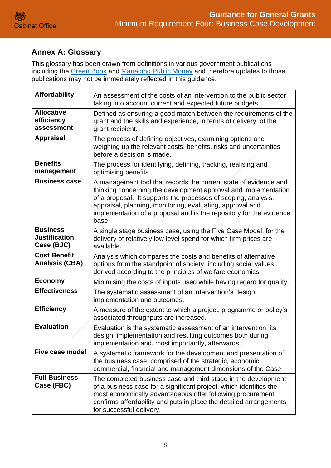# **Annex A: Glossary**

This glossary has been drawn from definitions in various government publications including the [Green Book](https://assets.publishing.service.gov.uk/government/uploads/system/uploads/attachment_data/file/938046/The_Green_Book_2020.pdf) and [Managing Public Money](https://assets.publishing.service.gov.uk/government/uploads/system/uploads/attachment_data/file/994901/MPM_Spring_21__without_annexes_180621.pdf) and therefore updates to those publications may not be immediately reflected in this guidance.

| <b>Affordability</b>                                  | An assessment of the costs of an intervention to the public sector<br>taking into account current and expected future budgets.                                                                                                                                                                                                                     |
|-------------------------------------------------------|----------------------------------------------------------------------------------------------------------------------------------------------------------------------------------------------------------------------------------------------------------------------------------------------------------------------------------------------------|
| <b>Allocative</b><br>efficiency<br>assessment         | Defined as ensuring a good match between the requirements of the<br>grant and the skills and experience, in terms of delivery, of the<br>grant recipient.                                                                                                                                                                                          |
| <b>Appraisal</b>                                      | The process of defining objectives, examining options and<br>weighing up the relevant costs, benefits, risks and uncertainties<br>before a decision is made.                                                                                                                                                                                       |
| <b>Benefits</b><br>management                         | The process for identifying, defining, tracking, realising and<br>optimising benefits                                                                                                                                                                                                                                                              |
| <b>Business case</b>                                  | A management tool that records the current state of evidence and<br>thinking concerning the development approval and implementation<br>of a proposal. It supports the processes of scoping, analysis,<br>appraisal, planning, monitoring, evaluating, approval and<br>implementation of a proposal and is the repository for the evidence<br>base. |
| <b>Business</b><br><b>Justification</b><br>Case (BJC) | A single stage business case, using the Five Case Model, for the<br>delivery of relatively low level spend for which firm prices are<br>available.                                                                                                                                                                                                 |
| <b>Cost Benefit</b><br><b>Analysis (CBA)</b>          | Analysis which compares the costs and benefits of alternative<br>options from the standpoint of society, including social values<br>derived according to the principles of welfare economics.                                                                                                                                                      |
| <b>Economy</b>                                        | Minimising the costs of inputs used while having regard for quality.                                                                                                                                                                                                                                                                               |
| <b>Effectiveness</b>                                  | The systematic assessment of an intervention's design,<br>implementation and outcomes.                                                                                                                                                                                                                                                             |
| <b>Efficiency</b>                                     | A measure of the extent to which a project, programme or policy's<br>associated throughputs are increased.                                                                                                                                                                                                                                         |
| <b>Evaluation</b>                                     | Evaluation is the systematic assessment of an intervention, its<br>design, implementation and resulting outcomes both during<br>implementation and, most importantly, afterwards.                                                                                                                                                                  |
| <b>Five case model</b>                                | A systematic framework for the development and presentation of<br>the business case, comprised of the strategic, economic,<br>commercial, financial and management dimensions of the Case.                                                                                                                                                         |
| <b>Full Business</b><br>Case (FBC)                    | The completed business case and third stage in the development<br>of a business case for a significant project, which identifies the<br>most economically advantageous offer following procurement,<br>confirms affordability and puts in place the detailed arrangements<br>for successful delivery.                                              |